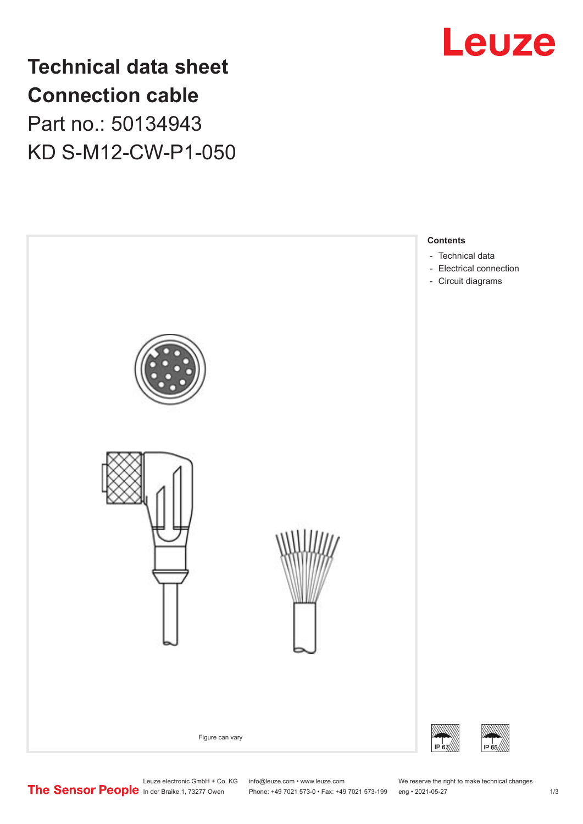

**Technical data sheet Connection cable** Part no.: 50134943 KD S-M12-CW-P1-050



Leuze electronic GmbH + Co. KG info@leuze.com • www.leuze.com We reserve the right to make technical changes<br>
The Sensor People in der Braike 1, 73277 Owen Phone: +49 7021 573-0 • Fax: +49 7021 573-199 eng • 2021-05-27 Phone: +49 7021 573-0 • Fax: +49 7021 573-199 eng • 2021-05-27 1 2021-05-27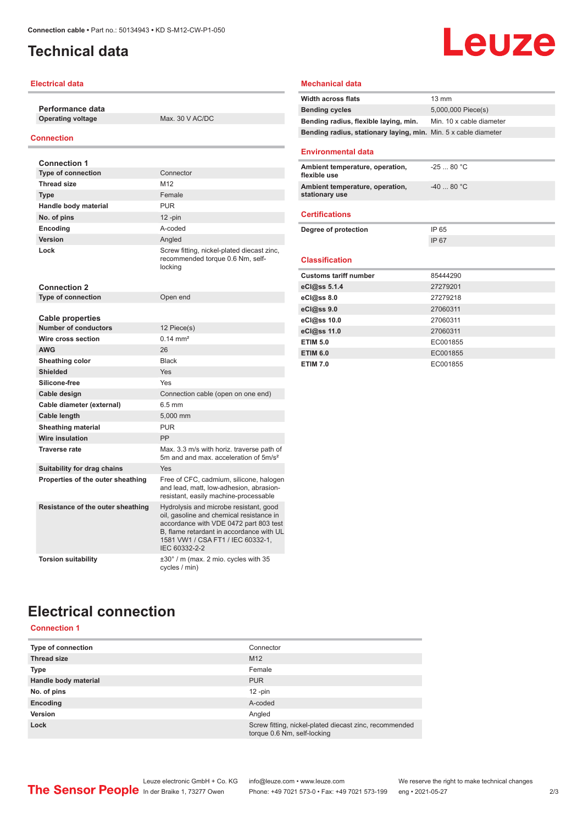## <span id="page-1-0"></span>**Technical data**

#### **Electrical data**

**Performance data Operating voltage** Max. 30 V AC/DC

#### **Connection**

| <b>Connection 1</b>               |                                                                                                                                                                                                                                |  |
|-----------------------------------|--------------------------------------------------------------------------------------------------------------------------------------------------------------------------------------------------------------------------------|--|
| <b>Type of connection</b>         | Connector                                                                                                                                                                                                                      |  |
| <b>Thread size</b>                | M12                                                                                                                                                                                                                            |  |
| <b>Type</b>                       | Female                                                                                                                                                                                                                         |  |
| Handle body material              | <b>PUR</b>                                                                                                                                                                                                                     |  |
| No. of pins                       | $12$ -pin                                                                                                                                                                                                                      |  |
| <b>Encoding</b>                   | A-coded                                                                                                                                                                                                                        |  |
| Version                           | Angled                                                                                                                                                                                                                         |  |
| Lock                              | Screw fitting, nickel-plated diecast zinc,<br>recommended torque 0.6 Nm, self-<br>locking                                                                                                                                      |  |
| <b>Connection 2</b>               |                                                                                                                                                                                                                                |  |
| <b>Type of connection</b>         | Open end                                                                                                                                                                                                                       |  |
|                                   |                                                                                                                                                                                                                                |  |
| Cable properties                  |                                                                                                                                                                                                                                |  |
| <b>Number of conductors</b>       | 12 Piece(s)<br>$0.14 \text{ mm}^2$                                                                                                                                                                                             |  |
| Wire cross section                |                                                                                                                                                                                                                                |  |
| <b>AWG</b>                        | 26                                                                                                                                                                                                                             |  |
| Sheathing color                   | <b>Black</b>                                                                                                                                                                                                                   |  |
| <b>Shielded</b>                   | Yes                                                                                                                                                                                                                            |  |
| Silicone-free                     | Yes                                                                                                                                                                                                                            |  |
| Cable design                      | Connection cable (open on one end)                                                                                                                                                                                             |  |
| Cable diameter (external)         | $6.5 \text{ mm}$                                                                                                                                                                                                               |  |
| Cable length                      | 5.000 mm                                                                                                                                                                                                                       |  |
| <b>Sheathing material</b>         | <b>PUR</b>                                                                                                                                                                                                                     |  |
| <b>Wire insulation</b>            | PP                                                                                                                                                                                                                             |  |
| <b>Traverse rate</b>              | Max. 3.3 m/s with horiz. traverse path of<br>5m and and max, acceleration of 5m/s <sup>2</sup>                                                                                                                                 |  |
| Suitability for drag chains       | Yes                                                                                                                                                                                                                            |  |
| Properties of the outer sheathing | Free of CFC, cadmium, silicone, halogen<br>and lead, matt, low-adhesion, abrasion-<br>resistant, easily machine-processable                                                                                                    |  |
| Resistance of the outer sheathing | Hydrolysis and microbe resistant, good<br>oil, gasoline and chemical resistance in<br>accordance with VDE 0472 part 803 test<br>B, flame retardant in accordance with UL<br>1581 VW1 / CSA FT1 / IEC 60332-1,<br>IEC 60332-2-2 |  |
| <b>Torsion suitability</b>        | $\pm 30^\circ$ / m (max. 2 mio. cycles with 35<br>cycles / min)                                                                                                                                                                |  |

# **Leuze**

#### **Mechanical data**

| <b>Width across flats</b>                                       | 13 mm                    |
|-----------------------------------------------------------------|--------------------------|
| <b>Bending cycles</b>                                           | 5,000,000 Piece(s)       |
| Bending radius, flexible laying, min.                           | Min. 10 x cable diameter |
| Bending radius, stationary laying, min. Min. 5 x cable diameter |                          |
| <b>Environmental data</b>                                       |                          |
| Ambient temperature, operation,<br>flexible use                 | $-2580 °C$               |
| Ambient temperature, operation,<br>stationary use               | $-40.80 °C$              |
| <b>Certifications</b>                                           |                          |
| Degree of protection                                            | IP 65                    |
|                                                                 | IP 67                    |
| <b>Classification</b>                                           |                          |
| <b>Customs tariff number</b>                                    | 85444290                 |
| eCl@ss 5.1.4                                                    | 27279201                 |
| eCl@ss 8.0                                                      | 27279218                 |
| eCl@ss 9.0                                                      | 27060311                 |
| eCl@ss 10.0                                                     | 27060311                 |
| eCl@ss 11.0                                                     | 27060311                 |
| <b>ETIM 5.0</b>                                                 | EC001855                 |
| <b>ETIM 6.0</b>                                                 | EC001855                 |
| <b>ETIM 7.0</b>                                                 | EC001855                 |

## **Electrical connection**

#### **Connection 1**

| Type of connection   | Connector                                                                             |
|----------------------|---------------------------------------------------------------------------------------|
| <b>Thread size</b>   | M <sub>12</sub>                                                                       |
| <b>Type</b>          | Female                                                                                |
| Handle body material | <b>PUR</b>                                                                            |
| No. of pins          | $12$ -pin                                                                             |
| Encoding             | A-coded                                                                               |
| Version              | Angled                                                                                |
| Lock                 | Screw fitting, nickel-plated diecast zinc, recommended<br>torque 0.6 Nm, self-locking |